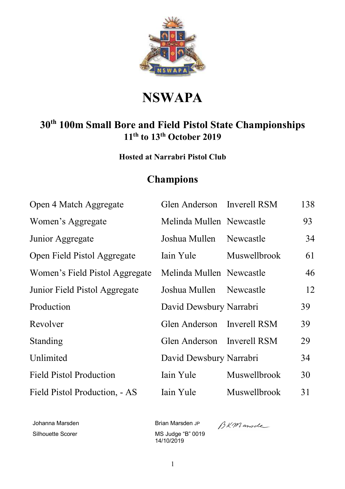

# **NSWAPA**

## **30th 100m Small Bore and Field Pistol State Championships 11th to 13th October 2019**

**Hosted at Narrabri Pistol Club** 

## **Champions**

| Open 4 Match Aggregate         | Glen Anderson Inverell RSM |                     | 138 |
|--------------------------------|----------------------------|---------------------|-----|
| Women's Aggregate              | Melinda Mullen Newcastle   |                     | 93  |
| Junior Aggregate               | Joshua Mullen              | Newcastle           | 34  |
| Open Field Pistol Aggregate    | Iain Yule                  | Muswellbrook        | 61  |
| Women's Field Pistol Aggregate | Melinda Mullen Newcastle   |                     | 46  |
| Junior Field Pistol Aggregate  | Joshua Mullen Newcastle    |                     | 12  |
| Production                     | David Dewsbury Narrabri    |                     | 39  |
| Revolver                       | Glen Anderson Inverell RSM |                     | 39  |
| Standing                       | Glen Anderson Inverell RSM |                     | 29  |
| Unlimited                      | David Dewsbury Narrabri    |                     | 34  |
| <b>Field Pistol Production</b> | Iain Yule                  | <b>Muswellbrook</b> | 30  |
| Field Pistol Production, - AS  | Iain Yule                  | Muswellbrook        | 31  |

Johanna Marsden Brian Marsden JP

Silhouette Scorer MS Judge "B" 0019 14/10/2019

BKMande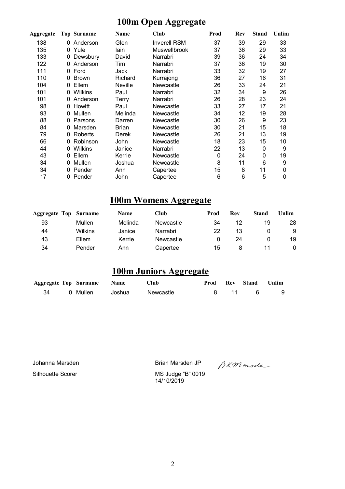#### **100m Open Aggregate**

| Aggregate |    | <b>Top Surname</b> | Name           | Club                | Prod        | Rev | <b>Stand</b> | Unlim |
|-----------|----|--------------------|----------------|---------------------|-------------|-----|--------------|-------|
| 138       | 0  | Anderson           | Glen           | <b>Inverell RSM</b> | 37          | 39  | 29           | 33    |
| 135       |    | 0 Yule             | lain           | <b>Muswellbrook</b> | 37          | 36  | 29           | 33    |
| 133       | 0  | Dewsbury           | David          | Narrabri            | 39          | 36  | 24           | 34    |
| 122       | 0  | Anderson           | Tim            | Narrabri            | 37          | 36  | 19           | 30    |
| 111       | 0  | Ford               | Jack           | Narrabri            | 33          | 32  | 19           | 27    |
| 110       | 0  | <b>Brown</b>       | Richard        | Kurrajong           | 36          | 27  | 16           | 31    |
| 104       | 0  | Ellem              | <b>Neville</b> | Newcastle           | 26          | 33  | 24           | 21    |
| 101       | 0  | Wilkins            | Paul           | Narrabri            | 32          | 34  | 9            | 26    |
| 101       |    | Anderson           | Terry          | Narrabri            | 26          | 28  | 23           | 24    |
| 98        | 0  | Howitt             | Paul           | Newcastle           | 33          | 27  | 17           | 21    |
| 93        | 0  | Mullen             | Melinda        | Newcastle           | 34          | 12  | 19           | 28    |
| 88        | 0  | Parsons            | Darren         | Newcastle           | 30          | 26  | 9            | 23    |
| 84        | 0  | Marsden            | Brian          | Newcastle           | 30          | 21  | 15           | 18    |
| 79        | 0  | Roberts            | <b>Derek</b>   | Newcastle           | 26          | 21  | 13           | 19    |
| 66        | 0  | Robinson           | John           | Newcastle           | 18          | 23  | 15           | 10    |
| 44        | 0  | <b>Wilkins</b>     | Janice         | Narrabri            | 22          | 13  | 0            | 9     |
| 43        | 0  | Ellem              | Kerrie         | Newcastle           | $\mathbf 0$ | 24  | $\mathbf{0}$ | 19    |
| 34        | 0. | Mullen             | Joshua         | Newcastle           | 8           | 11  | 6            | 9     |
| 34        | 0  | Pender             | Ann            | Capertee            | 15          | 8   | 11           | 0     |
| 17        |    | 0 Pender           | John           | Capertee            | 6           | 6   | 5            | 0     |

#### **100m Womens Aggregate**

| <b>Aggregate Top</b> | Surname        | <b>Name</b> | Club      | Prod | Rev | <b>Stand</b> | Unlim |
|----------------------|----------------|-------------|-----------|------|-----|--------------|-------|
| 93                   | Mullen         | Melinda     | Newcastle | 34   | 12  | 19           | 28    |
| 44                   | <b>Wilkins</b> | Janice      | Narrabri  | 22   | 13  |              | 9     |
| 43                   | Ellem          | Kerrie      | Newcastle |      | 24  |              | 19    |
| 34                   | Pender         | Ann         | Capertee  | 15   | 8   |              |       |

#### **100m Juniors Aggregate**

|    | <b>Aggregate Top Surname Name</b> |        | <b>Club</b> |      | <b>Prod Rev Stand Unlim</b> |     |
|----|-----------------------------------|--------|-------------|------|-----------------------------|-----|
| 34 | 0 Mullen                          | Joshua | Newcastle   | 8 11 | <b>6</b>                    | - 9 |

Johanna Marsden Brian Marsden JP

Silhouette Scorer MS Judge "B" 0019 14/10/2019

BKMande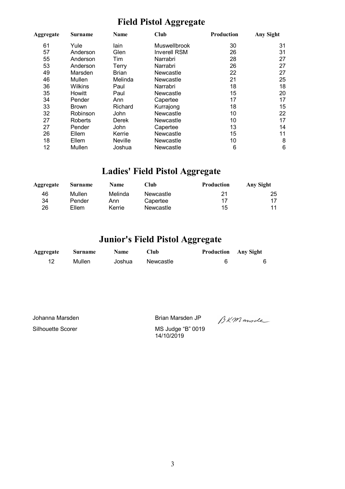### **Field Pistol Aggregate**

| Aggregate | <b>Surname</b> | Name         | <b>Club</b>         | Production | <b>Any Sight</b> |
|-----------|----------------|--------------|---------------------|------------|------------------|
| 61        | Yule           | lain         | <b>Muswellbrook</b> | 30         | 31               |
| 57        | Anderson       | Glen         | <b>Inverell RSM</b> | 26         | 31               |
| 55        | Anderson       | Tim          | Narrabri            | 28         | 27               |
| 53        | Anderson       | Terry        | Narrabri            | 26         | 27               |
| 49        | Marsden        | <b>Brian</b> | Newcastle           | 22         | 27               |
| 46        | Mullen         | Melinda      | Newcastle           | 21         | 25               |
| 36        | <b>Wilkins</b> | Paul         | Narrabri            | 18         | 18               |
| 35        | Howitt         | Paul         | Newcastle           | 15         | 20               |
| 34        | Pender         | Ann          | Capertee            | 17         | 17               |
| 33        | <b>Brown</b>   | Richard      | Kurrajong           | 18         | 15               |
| 32        | Robinson       | <b>John</b>  | Newcastle           | 10         | 22               |
| 27        | <b>Roberts</b> | Derek        | Newcastle           | 10         | 17               |
| 27        | Pender         | John         | Capertee            | 13         | 14               |
| 26        | Ellem          | Kerrie       | Newcastle           | 15         | 11               |
| 18        | Ellem          | Neville      | Newcastle           | 10         | 8                |
| 12        | Mullen         | Joshua       | Newcastle           | 6          | 6                |

## **Ladies' Field Pistol Aggregate**

| Aggregate | Surname | <b>Name</b> | Club      | <b>Production</b> | Any Sight |
|-----------|---------|-------------|-----------|-------------------|-----------|
| 46        | Mullen  | Melinda     | Newcastle | 21                | 25        |
| 34        | Pender  | Ann         | Capertee  | 17                |           |
| 26        | Ellem   | Kerrie      | Newcastle | 15                |           |

### **Junior's Field Pistol Aggregate**

| Aggregate | <b>Surname</b> | <b>Name</b> | Club      | <b>Production</b> Any Sight |  |
|-----------|----------------|-------------|-----------|-----------------------------|--|
| 12        | Mullen         | Joshua      | Newcastle |                             |  |

Silhouette Scorer MS Judge "B" 0019

Johanna Marsden Brian Marsden JP

14/10/2019

BKMande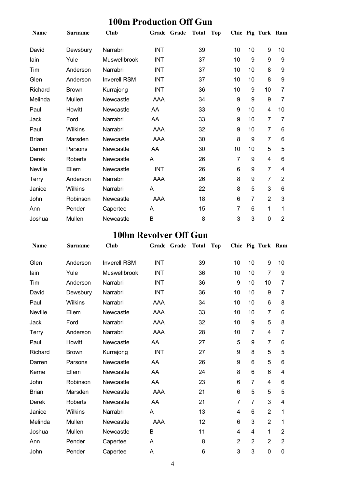#### **100m Production Off Gun**

| <b>Name</b>  | <b>Surname</b> | Club                | Grade Grade | <b>Total</b> | <b>Top</b> |                  |                | Chic Pig Turk Ram |                |
|--------------|----------------|---------------------|-------------|--------------|------------|------------------|----------------|-------------------|----------------|
| David        | Dewsbury       | Narrabri            | <b>INT</b>  | 39           |            | 10               | 10             | 9                 | 10             |
| lain         | Yule           | <b>Muswellbrook</b> | <b>INT</b>  | 37           |            | 10               | 9              | 9                 | 9              |
| Tim          | Anderson       | Narrabri            | <b>INT</b>  | 37           |            | 10               | 10             | 8                 | 9              |
| Glen         | Anderson       | <b>Inverell RSM</b> | INT         | 37           |            | 10               | 10             | 8                 | 9              |
| Richard      | <b>Brown</b>   | Kurrajong           | <b>INT</b>  | 36           |            | 10               | 9              | 10                | 7              |
| Melinda      | Mullen         | Newcastle           | AAA         | 34           |            | 9                | 9              | 9                 | $\overline{7}$ |
| Paul         | Howitt         | Newcastle           | AA          | 33           |            | 9                | 10             | 4                 | 10             |
| Jack         | Ford           | Narrabri            | AA          | 33           |            | 9                | 10             | 7                 | 7              |
| Paul         | Wilkins        | Narrabri            | AAA         | 32           |            | $\boldsymbol{9}$ | 10             | $\overline{7}$    | 6              |
| <b>Brian</b> | Marsden        | Newcastle           | <b>AAA</b>  | 30           |            | 8                | 9              | $\overline{7}$    | 6              |
| Darren       | Parsons        | Newcastle           | AA          | 30           |            | 10               | 10             | 5                 | 5              |
| Derek        | Roberts        | Newcastle           | A           | 26           |            | 7                | 9              | 4                 | 6              |
| Neville      | Ellem          | Newcastle           | <b>INT</b>  | 26           |            | 6                | 9              | $\overline{7}$    | 4              |
| Terry        | Anderson       | Narrabri            | AAA         | 26           |            | 8                | 9              | 7                 | 2              |
| Janice       | <b>Wilkins</b> | Narrabri            | A           | 22           |            | 8                | 5              | 3                 | 6              |
| John         | Robinson       | Newcastle           | <b>AAA</b>  | 18           |            | 6                | $\overline{7}$ | $\overline{2}$    | 3              |
| Ann          | Pender         | Capertee            | A           | 15           |            | 7                | 6              | 1                 | 1              |
| Joshua       | Mullen         | Newcastle           | В           | 8            |            | 3                | 3              | 0                 | $\overline{2}$ |

## **100m Revolver Off Gun**

| <b>Name</b>  | <b>Surname</b> | <b>Club</b>         | Grade Grade | <b>Total</b> | <b>Top</b> |                |                  | Chic Pig Turk Ram |                |
|--------------|----------------|---------------------|-------------|--------------|------------|----------------|------------------|-------------------|----------------|
| Glen         | Anderson       | <b>Inverell RSM</b> | <b>INT</b>  | 39           |            | 10             | 10               | 9                 | 10             |
| lain         | Yule           | Muswellbrook        | <b>INT</b>  | 36           |            | 10             | 10               | $\overline{7}$    | 9              |
| Tim          | Anderson       | Narrabri            | <b>INT</b>  | 36           |            | 9              | 10               | 10                | 7              |
| David        | Dewsbury       | Narrabri            | <b>INT</b>  | 36           |            | 10             | 10               | 9                 | 7              |
| Paul         | Wilkins        | Narrabri            | <b>AAA</b>  | 34           |            | 10             | 10               | 6                 | 8              |
| Neville      | Ellem          | Newcastle           | AAA         | 33           |            | 10             | 10               | $\overline{7}$    | 6              |
| Jack         | Ford           | Narrabri            | AAA         | 32           |            | 10             | $\boldsymbol{9}$ | 5                 | 8              |
| Terry        | Anderson       | Narrabri            | AAA         | 28           |            | 10             | $\overline{7}$   | 4                 | 7              |
| Paul         | Howitt         | Newcastle           | AA          | 27           |            | 5              | 9                | $\overline{7}$    | 6              |
| Richard      | <b>Brown</b>   | Kurrajong           | <b>INT</b>  | 27           |            | 9              | 8                | 5                 | 5              |
| Darren       | Parsons        | Newcastle           | AA          | 26           |            | 9              | 6                | 5                 | 6              |
| Kerrie       | Ellem          | Newcastle           | AA          | 24           |            | 8              | $6\phantom{1}6$  | 6                 | 4              |
| John         | Robinson       | Newcastle           | AA          | 23           |            | 6              | $\overline{7}$   | 4                 | 6              |
| <b>Brian</b> | Marsden        | Newcastle           | AAA         | 21           |            | 6              | 5                | 5                 | 5              |
| Derek        | <b>Roberts</b> | Newcastle           | AA          | 21           |            | $\overline{7}$ | $\overline{7}$   | 3                 | 4              |
| Janice       | Wilkins        | Narrabri            | A           | 13           |            | 4              | 6                | $\overline{2}$    | 1              |
| Melinda      | Mullen         | Newcastle           | AAA         | 12           |            | 6              | 3                | $\overline{2}$    | 1              |
| Joshua       | Mullen         | Newcastle           | B           | 11           |            | 4              | 4                | 1                 | $\overline{2}$ |
| Ann          | Pender         | Capertee            | A           | 8            |            | $\overline{2}$ | $\overline{2}$   | $\overline{2}$    | $\overline{2}$ |
| John         | Pender         | Capertee            | Α           | 6            |            | 3              | $\mathbf{3}$     | $\mathbf 0$       | $\mathbf 0$    |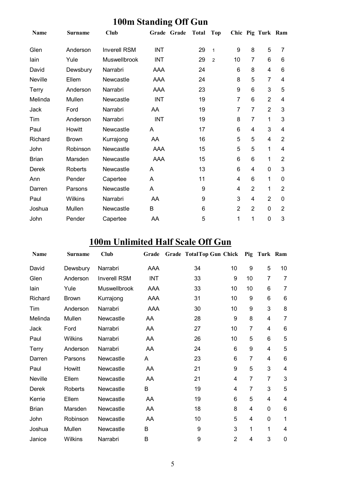|              |                |                     | o           |              |                |                |                         |                   |                |
|--------------|----------------|---------------------|-------------|--------------|----------------|----------------|-------------------------|-------------------|----------------|
| <b>Name</b>  | <b>Surname</b> | <b>Club</b>         | Grade Grade | <b>Total</b> | <b>Top</b>     |                |                         | Chic Pig Turk Ram |                |
| Glen         | Anderson       | <b>Inverell RSM</b> | <b>INT</b>  | 29           | $\mathbf{1}$   | 9              | 8                       | 5                 | 7              |
| lain         | Yule           | Muswellbrook        | <b>INT</b>  | 29           | $\overline{2}$ | 10             | $\overline{7}$          | 6                 | 6              |
| David        | Dewsbury       | Narrabri            | AAA         | 24           |                | 6              | 8                       | 4                 | 6              |
| Neville      | Ellem          | Newcastle           | AAA         | 24           |                | 8              | 5                       | $\overline{7}$    | 4              |
| Terry        | Anderson       | Narrabri            | AAA         | 23           |                | 9              | $6\phantom{1}6$         | 3                 | 5              |
| Melinda      | Mullen         | Newcastle           | <b>INT</b>  | 19           |                | 7              | 6                       | $\overline{2}$    | 4              |
| Jack         | Ford           | Narrabri            | AA          | 19           |                | 7              | $\overline{7}$          | $\overline{2}$    | 3              |
| Tim          | Anderson       | Narrabri            | <b>INT</b>  | 19           |                | 8              | $\overline{7}$          | 1                 | 3              |
| Paul         | Howitt         | Newcastle           | A           | 17           |                | 6              | 4                       | 3                 | 4              |
| Richard      | <b>Brown</b>   | Kurrajong           | AA          | 16           |                | 5              | 5                       | 4                 | $\overline{2}$ |
| John         | Robinson       | Newcastle           | AAA         | 15           |                | 5              | $\overline{5}$          | 1                 | 4              |
| <b>Brian</b> | Marsden        | Newcastle           | AAA         | 15           |                | 6              | $6\phantom{1}6$         | 1                 | $\overline{2}$ |
| Derek        | Roberts        | Newcastle           | A           | 13           |                | 6              | 4                       | 0                 | 3              |
| Ann          | Pender         | Capertee            | A           | 11           |                | 4              | 6                       | 1                 | 0              |
| Darren       | Parsons        | Newcastle           | A           | 9            |                | 4              | $\overline{2}$          | 1                 | $\overline{2}$ |
| Paul         | Wilkins        | Narrabri            | AA          | 9            |                | 3              | $\overline{\mathbf{4}}$ | $\overline{2}$    | 0              |
| Joshua       | Mullen         | Newcastle           | B           | 6            |                | $\overline{2}$ | $\overline{2}$          | 0                 | $\overline{2}$ |
| John         | Pender         | Capertee            | AA          | 5            |                | 1              | 1                       | 0                 | 3              |

#### **100m Standing Off Gun**

## **100m Unlimited Half Scale Off Gun**

| <b>Name</b>  | <b>Surname</b> | <b>Club</b>         | Grade      | Grade TotalTop Gun Chick Pig Turk Ram |                |                |                |                 |
|--------------|----------------|---------------------|------------|---------------------------------------|----------------|----------------|----------------|-----------------|
| David        | Dewsbury       | Narrabri            | AAA        | 34                                    | 10             | 9              | 5              | 10              |
| Glen         | Anderson       | <b>Inverell RSM</b> | <b>INT</b> | 33                                    | 9              | 10             | $\overline{7}$ | $\overline{7}$  |
| lain         | Yule           | Muswellbrook        | AAA        | 33                                    | 10             | 10             | 6              | $\overline{7}$  |
| Richard      | <b>Brown</b>   | Kurrajong           | AAA        | 31                                    | 10             | 9              | 6              | $6\phantom{1}6$ |
| Tim          | Anderson       | Narrabri            | AAA        | 30                                    | 10             | 9              | 3              | 8               |
| Melinda      | Mullen         | Newcastle           | AA         | 28                                    | 9              | 8              | 4              | $\overline{7}$  |
| Jack         | Ford           | Narrabri            | AA         | 27                                    | 10             | 7              | 4              | 6               |
| Paul         | Wilkins        | Narrabri            | AA         | 26                                    | 10             | 5              | 6              | 5               |
| <b>Terry</b> | Anderson       | Narrabri            | AA         | 24                                    | 6              | 9              | 4              | 5               |
| Darren       | Parsons        | Newcastle           | Α          | 23                                    | 6              | 7              | 4              | $6\phantom{1}6$ |
| Paul         | Howitt         | Newcastle           | AA         | 21                                    | 9              | 5              | 3              | $\overline{4}$  |
| Neville      | Ellem          | Newcastle           | AA         | 21                                    | $\overline{4}$ | $\overline{7}$ | $\overline{7}$ | 3               |
| Derek        | <b>Roberts</b> | Newcastle           | B          | 19                                    | 4              | $\overline{7}$ | 3              | 5               |
| Kerrie       | Ellem          | Newcastle           | AA         | 19                                    | 6              | 5              | 4              | $\overline{4}$  |
| <b>Brian</b> | Marsden        | Newcastle           | AA         | 18                                    | 8              | 4              | 0              | 6               |
| John         | Robinson       | Newcastle           | AA         | 10                                    | 5              | 4              | 0              | 1               |
| Joshua       | Mullen         | Newcastle           | В          | 9                                     | 3              | 1              | 1              | 4               |
| Janice       | <b>Wilkins</b> | Narrabri            | B          | 9                                     | $\overline{2}$ | 4              | 3              | $\mathbf 0$     |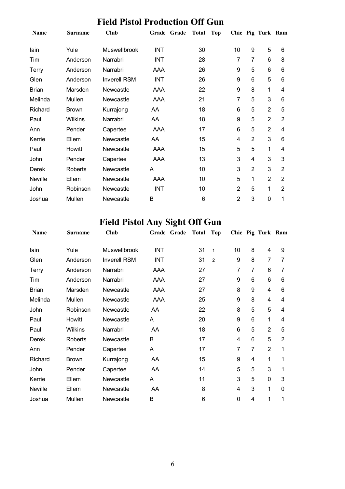| Name         | <b>Surname</b> | Club                | Grade Grade | <b>Total</b> | Top            |                | Chic Pig Turk Ram |                |
|--------------|----------------|---------------------|-------------|--------------|----------------|----------------|-------------------|----------------|
| lain         | Yule           | Muswellbrook        | INT         | 30           | 10             | 9              | 5                 | 6              |
| Tim          | Anderson       | Narrabri            | INT         | 28           | 7              | 7              | 6                 | 8              |
| Terry        | Anderson       | Narrabri            | AAA         | 26           | 9              | 5              | 6                 | 6              |
| Glen         | Anderson       | <b>Inverell RSM</b> | <b>INT</b>  | 26           | 9              | 6              | 5                 | 6              |
| <b>Brian</b> | Marsden        | Newcastle           | AAA         | 22           | 9              | 8              | 1                 | 4              |
| Melinda      | Mullen         | Newcastle           | AAA         | 21           | 7              | 5              | 3                 | 6              |
| Richard      | <b>Brown</b>   | Kurrajong           | AA          | 18           | 6              | 5              | $\overline{2}$    | 5              |
| Paul         | <b>Wilkins</b> | Narrabri            | AA          | 18           | 9              | 5              | $\overline{2}$    | $\overline{2}$ |
| Ann          | Pender         | Capertee            | AAA         | 17           | 6              | 5              | $\overline{2}$    | 4              |
| Kerrie       | Ellem          | Newcastle           | AA          | 15           | 4              | $\overline{2}$ | 3                 | 6              |
| Paul         | Howitt         | Newcastle           | AAA         | 15           | 5              | 5              | 1                 | 4              |
| John         | Pender         | Capertee            | AAA         | 13           | 3              | 4              | 3                 | 3              |
| Derek        | Roberts        | Newcastle           | Α           | 10           | 3              | $\overline{2}$ | 3                 | $\overline{2}$ |
| Neville      | Ellem          | Newcastle           | AAA         | 10           | 5              | 1              | $\overline{2}$    | $\overline{2}$ |
| John         | Robinson       | Newcastle           | <b>INT</b>  | 10           | 2              | 5              | 1                 | 2              |
| Joshua       | Mullen         | Newcastle           | B           | 6            | $\overline{2}$ | 3              | 0                 | 1              |

# **Field Pistol Any Sight Off Gun**

| Name         | <b>Surname</b> | Club                | Grade<br>Grade | <b>Total</b> | Top            |    |   | Chic Pig Turk Ram |                |
|--------------|----------------|---------------------|----------------|--------------|----------------|----|---|-------------------|----------------|
| lain         | Yule           | <b>Muswellbrook</b> | <b>INT</b>     | 31           | $\mathbf{1}$   | 10 | 8 | 4                 | 9              |
| Glen         | Anderson       | <b>Inverell RSM</b> | INT            | 31           | $\overline{2}$ | 9  | 8 | $\overline{7}$    | 7              |
| <b>Terry</b> | Anderson       | Narrabri            | AAA            | 27           |                | 7  | 7 | 6                 | 7              |
| Tim          | Anderson       | Narrabri            | AAA            | 27           |                | 9  | 6 | 6                 | 6              |
| <b>Brian</b> | Marsden        | Newcastle           | AAA            | 27           |                | 8  | 9 | 4                 | 6              |
| Melinda      | Mullen         | Newcastle           | AAA            | 25           |                | 9  | 8 | 4                 | 4              |
| John         | Robinson       | Newcastle           | AA             | 22           |                | 8  | 5 | 5                 | 4              |
| Paul         | Howitt         | Newcastle           | A              | 20           |                | 9  | 6 | 1                 | 4              |
| Paul         | Wilkins        | Narrabri            | AA             | 18           |                | 6  | 5 | $\overline{2}$    | 5              |
| Derek        | Roberts        | Newcastle           | B              | 17           |                | 4  | 6 | 5                 | $\overline{2}$ |
| Ann          | Pender         | Capertee            | A              | 17           |                | 7  | 7 | $\overline{2}$    | 1              |
| Richard      | <b>Brown</b>   | Kurrajong           | AA             | 15           |                | 9  | 4 | 1                 | 1              |
| John         | Pender         | Capertee            | AA             | 14           |                | 5  | 5 | 3                 | 1              |
| Kerrie       | Ellem          | Newcastle           | A              | 11           |                | 3  | 5 | 0                 | 3              |
| Neville      | Ellem          | Newcastle           | AA             | 8            |                | 4  | 3 | 1                 | 0              |
| Joshua       | Mullen         | Newcastle           | B              | 6            |                | 0  | 4 | $\mathbf{1}$      | 1              |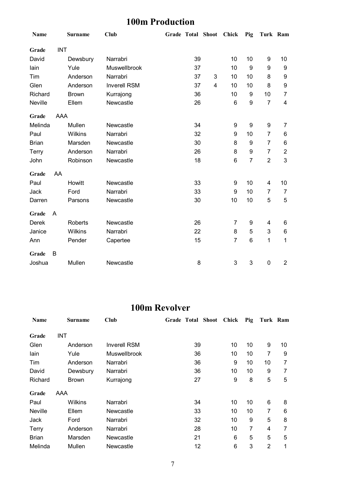## **100m Production**

| Name         |            | <b>Surname</b> | <b>Club</b>         | Grade Total Shoot |    |                         | Chick          | Pig              | Turk Ram                 |                |
|--------------|------------|----------------|---------------------|-------------------|----|-------------------------|----------------|------------------|--------------------------|----------------|
| Grade        | <b>INT</b> |                |                     |                   |    |                         |                |                  |                          |                |
| David        |            | Dewsbury       | Narrabri            |                   | 39 |                         | 10             | 10               | 9                        | 10             |
| lain         |            | Yule           | Muswellbrook        |                   | 37 |                         | 10             | 9                | 9                        | 9              |
| Tim          |            | Anderson       | Narrabri            |                   | 37 | 3                       | 10             | 10               | 8                        | 9              |
| Glen         |            | Anderson       | <b>Inverell RSM</b> |                   | 37 | $\overline{\mathbf{4}}$ | 10             | 10               | 8                        | 9              |
| Richard      |            | <b>Brown</b>   | Kurrajong           |                   | 36 |                         | 10             | 9                | 10                       | 7              |
| Neville      |            | Ellem          | Newcastle           |                   | 26 |                         | 6              | $\boldsymbol{9}$ | $\overline{7}$           | 4              |
| Grade        | AAA        |                |                     |                   |    |                         |                |                  |                          |                |
| Melinda      |            | Mullen         | Newcastle           |                   | 34 |                         | 9              | $\boldsymbol{9}$ | 9                        | $\overline{7}$ |
| Paul         |            | Wilkins        | Narrabri            |                   | 32 |                         | 9              | 10               | $\overline{7}$           | 6              |
| <b>Brian</b> |            | Marsden        | Newcastle           |                   | 30 |                         | 8              | 9                | 7                        | 6              |
| Terry        |            | Anderson       | Narrabri            |                   | 26 |                         | 8              | $\boldsymbol{9}$ | $\overline{7}$           | $\mathbf{2}$   |
| John         |            | Robinson       | Newcastle           |                   | 18 |                         | 6              | $\overline{7}$   | $\overline{2}$           | 3              |
| Grade        | AA         |                |                     |                   |    |                         |                |                  |                          |                |
| Paul         |            | Howitt         | Newcastle           |                   | 33 |                         | 9              | 10               | $\overline{\mathcal{A}}$ | 10             |
| Jack         |            | Ford           | Narrabri            |                   | 33 |                         | 9              | 10               | $\overline{7}$           | $\overline{7}$ |
| Darren       |            | Parsons        | Newcastle           |                   | 30 |                         | 10             | 10               | 5                        | 5              |
| Grade        | A          |                |                     |                   |    |                         |                |                  |                          |                |
| <b>Derek</b> |            | <b>Roberts</b> | Newcastle           |                   | 26 |                         | 7              | 9                | 4                        | 6              |
| Janice       |            | Wilkins        | Narrabri            |                   | 22 |                         | 8              | 5                | 3                        | 6              |
| Ann          |            | Pender         | Capertee            |                   | 15 |                         | $\overline{7}$ | $6\phantom{1}$   | 1                        | 1              |
| Grade        | B          |                |                     |                   |    |                         |                |                  |                          |                |
| Joshua       |            | Mullen         | Newcastle           |                   | 8  |                         | 3              | 3                | $\mathbf 0$              | $\overline{2}$ |

#### **100m Revolver**

| Name         | <b>Surname</b> | Club                | Grade Total Shoot | Chick | Pig | Turk Ram |    |
|--------------|----------------|---------------------|-------------------|-------|-----|----------|----|
| Grade        | <b>INT</b>     |                     |                   |       |     |          |    |
| Glen         | Anderson       | <b>Inverell RSM</b> | 39                | 10    | 10  | 9        | 10 |
| lain         | Yule           | Muswellbrook        | 36                | 10    | 10  | 7        | 9  |
| Tim          | Anderson       | Narrabri            | 36                | 9     | 10  | 10       | 7  |
| David        | Dewsbury       | Narrabri            | 36                | 10    | 10  | 9        | 7  |
| Richard      | <b>Brown</b>   | Kurrajong           | 27                | 9     | 8   | 5        | 5  |
| Grade        | AAA            |                     |                   |       |     |          |    |
| Paul         | Wilkins        | Narrabri            | 34                | 10    | 10  | 6        | 8  |
| Neville      | Ellem          | Newcastle           | 33                | 10    | 10  | 7        | 6  |
| Jack         | Ford           | Narrabri            | 32                | 10    | 9   | 5        | 8  |
| Terry        | Anderson       | Narrabri            | 28                | 10    | 7   | 4        | 7  |
| <b>Brian</b> | Marsden        | Newcastle           | 21                | 6     | 5   | 5        | 5  |
| Melinda      | Mullen         | Newcastle           | 12                | 6     | 3   | 2        | 1  |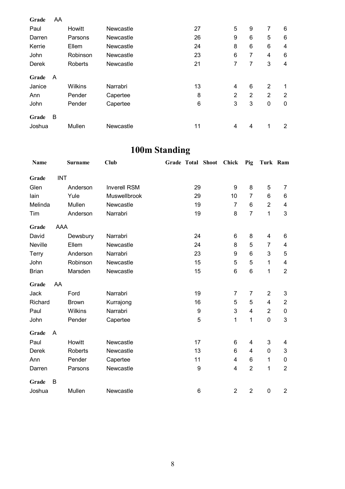| Grade  | AA |                |           |    |                |                |                |                |
|--------|----|----------------|-----------|----|----------------|----------------|----------------|----------------|
| Paul   |    | Howitt         | Newcastle | 27 | 5              | 9              | 7              | 6              |
| Darren |    | Parsons        | Newcastle | 26 | 9              | 6              | 5              | 6              |
| Kerrie |    | Ellem          | Newcastle | 24 | 8              | 6              | 6              | 4              |
| John   |    | Robinson       | Newcastle | 23 | 6              | 7              | 4              | 6              |
| Derek  |    | <b>Roberts</b> | Newcastle | 21 | 7              | 7              | 3              | 4              |
| Grade  | A  |                |           |    |                |                |                |                |
| Janice |    | Wilkins        | Narrabri  | 13 | 4              | 6              | $\overline{2}$ | 1              |
| Ann    |    | Pender         | Capertee  | 8  | $\overline{2}$ | $\overline{2}$ | $\overline{2}$ | $\overline{2}$ |
| John   |    | Pender         | Capertee  | 6  | 3              | 3              | 0              | 0              |
| Grade  | В  |                |           |    |                |                |                |                |
| Joshua |    | Mullen         | Newcastle | 11 | 4              | 4              | 1              | 2              |

## **100m Standing**

| Name         |            | <b>Surname</b> | <b>Club</b>         | Grade Total Shoot | <b>Chick</b>   | Pig            | Turk Ram       |                           |
|--------------|------------|----------------|---------------------|-------------------|----------------|----------------|----------------|---------------------------|
| Grade        | <b>INT</b> |                |                     |                   |                |                |                |                           |
| Glen         |            | Anderson       | <b>Inverell RSM</b> | 29                | 9              | 8              | 5              | $\overline{7}$            |
| lain         |            | Yule           | Muswellbrook        | 29                | 10             | $\overline{7}$ | 6              | $\,6$                     |
| Melinda      |            | Mullen         | Newcastle           | 19                | $\overline{7}$ | 6              | $\overline{2}$ | $\overline{\mathbf{4}}$   |
| Tim          |            | Anderson       | Narrabri            | 19                | 8              | $\overline{7}$ | $\mathbf{1}$   | 3                         |
| Grade        | AAA        |                |                     |                   |                |                |                |                           |
| David        |            | Dewsbury       | Narrabri            | 24                | 6              | 8              | 4              | 6                         |
| Neville      |            | Ellem          | Newcastle           | 24                | 8              | 5              | 7              | 4                         |
| Terry        |            | Anderson       | Narrabri            | 23                | 9              | 6              | 3              | 5                         |
| John         |            | Robinson       | Newcastle           | 15                | 5              | 5              | $\mathbf{1}$   | $\overline{\mathbf{4}}$   |
| <b>Brian</b> |            | Marsden        | Newcastle           | 15                | 6              | $\,6\,$        | 1              | $\boldsymbol{2}$          |
| Grade        | AA         |                |                     |                   |                |                |                |                           |
| Jack         |            | Ford           | Narrabri            | 19                | $\overline{7}$ | $\overline{7}$ | $\overline{2}$ | $\ensuremath{\mathsf{3}}$ |
| Richard      |            | <b>Brown</b>   | Kurrajong           | 16                | 5              | 5              | 4              | $\overline{2}$            |
| Paul         |            | Wilkins        | Narrabri            | 9                 | 3              | 4              | $\overline{2}$ | $\pmb{0}$                 |
| John         |            | Pender         | Capertee            | 5                 | 1              | 1              | $\mathbf 0$    | 3                         |
| Grade        | A          |                |                     |                   |                |                |                |                           |
| Paul         |            | Howitt         | Newcastle           | 17                | 6              | 4              | 3              | 4                         |
| <b>Derek</b> |            | Roberts        | Newcastle           | 13                | 6              | 4              | 0              | $\mathfrak{B}$            |
| Ann          |            | Pender         | Capertee            | 11                | 4              | 6              | $\mathbf{1}$   | $\pmb{0}$                 |
| Darren       |            | Parsons        | Newcastle           | 9                 | 4              | $\overline{2}$ | $\mathbf{1}$   | $\overline{2}$            |
| Grade        | B          |                |                     |                   |                |                |                |                           |
| Joshua       |            | Mullen         | Newcastle           | 6                 | $\overline{2}$ | $\overline{2}$ | $\pmb{0}$      | $\boldsymbol{2}$          |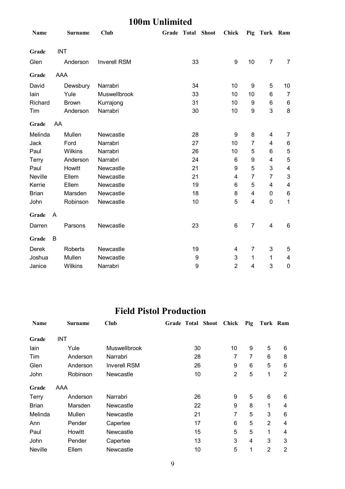#### **100m Unlimited**

| Name           |            | <b>Surname</b> | <b>Club</b>         | Grade Total Shoot |                  | <b>Chick</b>     |                  | Pig Turk Ram            |                           |
|----------------|------------|----------------|---------------------|-------------------|------------------|------------------|------------------|-------------------------|---------------------------|
| Grade          | <b>INT</b> |                |                     |                   |                  |                  |                  |                         |                           |
| Glen           |            | Anderson       | <b>Inverell RSM</b> |                   | 33               | $\boldsymbol{9}$ | 10               | $\overline{7}$          | $\overline{7}$            |
| Grade          | AAA        |                |                     |                   |                  |                  |                  |                         |                           |
| David          |            | Dewsbury       | Narrabri            |                   | 34               | 10               | 9                | 5                       | 10                        |
| lain           |            | Yule           | Muswellbrook        |                   | 33               | 10               | 10               | 6                       | $\overline{7}$            |
| Richard        |            | <b>Brown</b>   | Kurrajong           |                   | 31               | 10               | 9                | 6                       | 6                         |
| Tim            |            | Anderson       | Narrabri            |                   | 30               | 10               | $\boldsymbol{9}$ | 3                       | 8                         |
| Grade          | AA         |                |                     |                   |                  |                  |                  |                         |                           |
| Melinda        |            | Mullen         | Newcastle           |                   | 28               | 9                | 8                | 4                       | 7                         |
| Jack           |            | Ford           | Narrabri            |                   | 27               | 10               | $\overline{7}$   | 4                       | 6                         |
| Paul           |            | Wilkins        | Narrabri            |                   | 26               | 10               | 5                | 6                       | 5                         |
| Terry          |            | Anderson       | Narrabri            |                   | 24               | $6\phantom{1}$   | 9                | $\overline{\mathbf{4}}$ | 5                         |
| Paul           |            | Howitt         | Newcastle           |                   | 21               | 9                | 5                | 3                       | $\overline{\mathbf{4}}$   |
| <b>Neville</b> |            | Ellem          | Newcastle           |                   | 21               | 4                | $\overline{7}$   | 7                       | $\ensuremath{\mathsf{3}}$ |
| Kerrie         |            | Ellem          | Newcastle           |                   | 19               | 6                | 5                | 4                       | 4                         |
| <b>Brian</b>   |            | Marsden        | Newcastle           |                   | 18               | 8                | 4                | 0                       | 6                         |
| John           |            | Robinson       | Newcastle           |                   | 10               | 5                | 4                | $\pmb{0}$               | $\mathbf{1}$              |
| Grade          | A          |                |                     |                   |                  |                  |                  |                         |                           |
| Darren         |            | Parsons        | Newcastle           |                   | 23               | 6                | $\overline{7}$   | $\overline{\mathbf{4}}$ | $6\phantom{1}$            |
| Grade          | B          |                |                     |                   |                  |                  |                  |                         |                           |
| <b>Derek</b>   |            | Roberts        | Newcastle           |                   | 19               | 4                | 7                | 3                       | 5                         |
| Joshua         |            | Mullen         | Newcastle           |                   | $\boldsymbol{9}$ | 3                | 1                | 1                       | 4                         |
| Janice         |            | Wilkins        | Narrabri            |                   | 9                | $\overline{2}$   | 4                | 3                       | $\mathbf 0$               |

### **Field Pistol Production**

| Name         | <b>Surname</b> | Club                | <b>Grade Total Shoot</b> | Chick          | Pig | Turk Ram       |                |
|--------------|----------------|---------------------|--------------------------|----------------|-----|----------------|----------------|
| Grade        | <b>INT</b>     |                     |                          |                |     |                |                |
| lain         | Yule           | <b>Muswellbrook</b> | 30                       | 10             | 9   | 5              | 6              |
| Tim          | Anderson       | Narrabri            | 28                       | 7              | 7   | 6              | 8              |
| Glen         | Anderson       | <b>Inverell RSM</b> | 26                       | 9              | 6   | 5              | 6              |
| John         | Robinson       | Newcastle           | 10                       | $\overline{2}$ | 5   | 1              | 2              |
| Grade        | AAA            |                     |                          |                |     |                |                |
| Terry        | Anderson       | Narrabri            | 26                       | 9              | 5   | 6              | 6              |
| <b>Brian</b> | Marsden        | Newcastle           | 22                       | 9              | 8   | 1              | 4              |
| Melinda      | Mullen         | Newcastle           | 21                       | 7              | 5   | 3              | 6              |
| Ann          | Pender         | Capertee            | 17                       | 6              | 5   | $\overline{2}$ | 4              |
| Paul         | Howitt         | Newcastle           | 15                       | 5              | 5   | 1              | 4              |
| John         | Pender         | Capertee            | 13                       | 3              | 4   | 3              | 3              |
| Neville      | Ellem          | Newcastle           | 10                       | 5              | 1   | 2              | $\overline{2}$ |